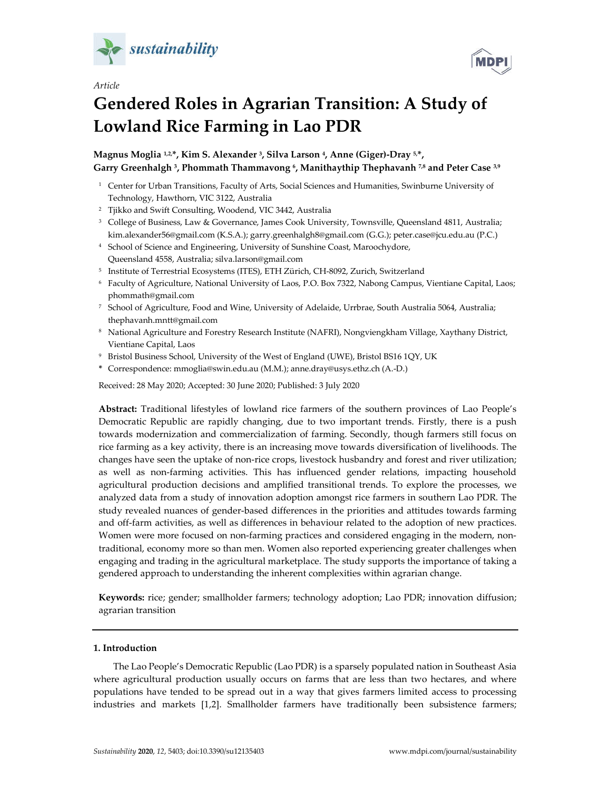

*Article*

# **Gendered Roles in Agrarian Transition: A Study of Lowland Rice Farming in Lao PDR**

**Magnus Moglia 1,2,\*, Kim S. Alexander 3, Silva Larson 4, Anne (Giger)-Dray 5,\*, Garry Greenhalgh 3, Phommath Thammavong 6, Manithaythip Thephavanh 7,8 and Peter Case 3,9**

- <sup>1</sup> Center for Urban Transitions, Faculty of Arts, Social Sciences and Humanities, Swinburne University of Technology, Hawthorn, VIC 3122, Australia
- <sup>2</sup> Tjikko and Swift Consulting, Woodend, VIC 3442, Australia
- <sup>3</sup> College of Business, Law & Governance, James Cook University, Townsville, Queensland 4811, Australia; kim.alexander56@gmail.com (K.S.A.); garry.greenhalgh8@gmail.com (G.G.); peter.case@jcu.edu.au (P.C.)
- <sup>4</sup> School of Science and Engineering, University of Sunshine Coast, Maroochydore, Queensland 4558, Australia; silva.larson@gmail.com
- <sup>5</sup> Institute of Terrestrial Ecosystems (ITES), ETH Zürich, CH-8092, Zurich, Switzerland
- <sup>6</sup> Faculty of Agriculture, National University of Laos, P.O. Box 7322, Nabong Campus, Vientiane Capital, Laos; phommath@gmail.com
- <sup>7</sup> School of Agriculture, Food and Wine, University of Adelaide, Urrbrae, South Australia 5064, Australia; thephavanh.mntt@gmail.com
- <sup>8</sup> National Agriculture and Forestry Research Institute (NAFRI), Nongviengkham Village, Xaythany District, Vientiane Capital, Laos
- <sup>9</sup> Bristol Business School, University of the West of England (UWE), Bristol BS16 1QY, UK
- **\*** Correspondence: mmoglia@swin.edu.au (M.M.); anne.dray@usys.ethz.ch (A.-D.)

Received: 28 May 2020; Accepted: 30 June 2020; Published: 3 July 2020

**Abstract:** Traditional lifestyles of lowland rice farmers of the southern provinces of Lao People's Democratic Republic are rapidly changing, due to two important trends. Firstly, there is a push towards modernization and commercialization of farming. Secondly, though farmers still focus on rice farming as a key activity, there is an increasing move towards diversification of livelihoods. The changes have seen the uptake of non-rice crops, livestock husbandry and forest and river utilization; as well as non-farming activities. This has influenced gender relations, impacting household agricultural production decisions and amplified transitional trends. To explore the processes, we analyzed data from a study of innovation adoption amongst rice farmers in southern Lao PDR. The study revealed nuances of gender-based differences in the priorities and attitudes towards farming and off-farm activities, as well as differences in behaviour related to the adoption of new practices. Women were more focused on non-farming practices and considered engaging in the modern, nontraditional, economy more so than men. Women also reported experiencing greater challenges when engaging and trading in the agricultural marketplace. The study supports the importance of taking a gendered approach to understanding the inherent complexities within agrarian change.

**Keywords:** rice; gender; smallholder farmers; technology adoption; Lao PDR; innovation diffusion; agrarian transition

# **1. Introduction**

The Lao People's Democratic Republic (Lao PDR) is a sparsely populated nation in Southeast Asia where agricultural production usually occurs on farms that are less than two hectares, and where populations have tended to be spread out in a way that gives farmers limited access to processing industries and markets [1,2]. Smallholder farmers have traditionally been subsistence farmers;

**MDP**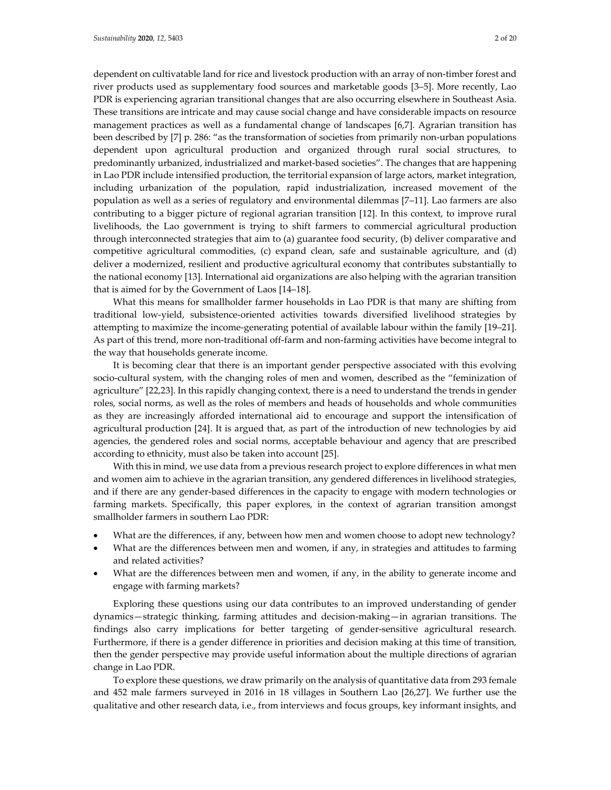dependent on cultivatable land for rice and livestock production with an array of non-timber forest and river products used as supplementary food sources and marketable goods [3–5]. More recently, Lao PDR is experiencing agrarian transitional changes that are also occurring elsewhere in Southeast Asia. These transitions are intricate and may cause social change and have considerable impacts on resource management practices as well as a fundamental change of landscapes [6,7]. Agrarian transition has been described by [7] p. 286: "as the transformation of societies from primarily non-urban populations dependent upon agricultural production and organized through rural social structures, to predominantly urbanized, industrialized and market-based societies". The changes that are happening in Lao PDR include intensified production, the territorial expansion of large actors, market integration, including urbanization of the population, rapid industrialization, increased movement of the population as well as a series of regulatory and environmental dilemmas [7–11]. Lao farmers are also contributing to a bigger picture of regional agrarian transition [12]. In this context, to improve rural livelihoods, the Lao government is trying to shift farmers to commercial agricultural production through interconnected strategies that aim to (a) guarantee food security, (b) deliver comparative and competitive agricultural commodities, (c) expand clean, safe and sustainable agriculture, and (d) deliver a modernized, resilient and productive agricultural economy that contributes substantially to the national economy [13]. International aid organizations are also helping with the agrarian transition that is aimed for by the Government of Laos [14–18].

What this means for smallholder farmer households in Lao PDR is that many are shifting from traditional low-yield, subsistence-oriented activities towards diversified livelihood strategies by attempting to maximize the income-generating potential of available labour within the family [19–21]. As part of this trend, more non-traditional off-farm and non-farming activities have become integral to the way that households generate income.

It is becoming clear that there is an important gender perspective associated with this evolving socio-cultural system, with the changing roles of men and women, described as the "feminization of agriculture" [22,23]. In this rapidly changing context, there is a need to understand the trends in gender roles, social norms, as well as the roles of members and heads of households and whole communities as they are increasingly afforded international aid to encourage and support the intensification of agricultural production [24]. It is argued that, as part of the introduction of new technologies by aid agencies, the gendered roles and social norms, acceptable behaviour and agency that are prescribed according to ethnicity, must also be taken into account [25].

With this in mind, we use data from a previous research project to explore differences in what men and women aim to achieve in the agrarian transition, any gendered differences in livelihood strategies, and if there are any gender-based differences in the capacity to engage with modern technologies or farming markets. Specifically, this paper explores, in the context of agrarian transition amongst smallholder farmers in southern Lao PDR:

- What are the differences, if any, between how men and women choose to adopt new technology?
- What are the differences between men and women, if any, in strategies and attitudes to farming and related activities?
- What are the differences between men and women, if any, in the ability to generate income and engage with farming markets?

Exploring these questions using our data contributes to an improved understanding of gender dynamics—strategic thinking, farming attitudes and decision-making—in agrarian transitions. The findings also carry implications for better targeting of gender-sensitive agricultural research. Furthermore, if there is a gender difference in priorities and decision making at this time of transition, then the gender perspective may provide useful information about the multiple directions of agrarian change in Lao PDR.

To explore these questions, we draw primarily on the analysis of quantitative data from 293 female and 452 male farmers surveyed in 2016 in 18 villages in Southern Lao [26,27]. We further use the qualitative and other research data, i.e., from interviews and focus groups, key informant insights, and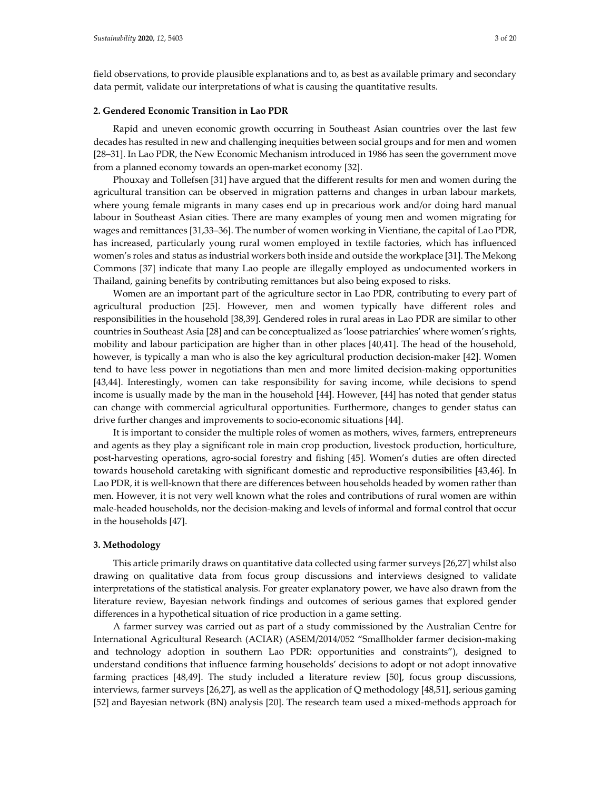field observations, to provide plausible explanations and to, as best as available primary and secondary data permit, validate our interpretations of what is causing the quantitative results.

#### **2. Gendered Economic Transition in Lao PDR**

Rapid and uneven economic growth occurring in Southeast Asian countries over the last few decades has resulted in new and challenging inequities between social groups and for men and women [28–31]. In Lao PDR, the New Economic Mechanism introduced in 1986 has seen the government move from a planned economy towards an open-market economy [32].

Phouxay and Tollefsen [31] have argued that the different results for men and women during the agricultural transition can be observed in migration patterns and changes in urban labour markets, where young female migrants in many cases end up in precarious work and/or doing hard manual labour in Southeast Asian cities. There are many examples of young men and women migrating for wages and remittances [31,33–36]. The number of women working in Vientiane, the capital of Lao PDR, has increased, particularly young rural women employed in textile factories, which has influenced women's roles and status as industrial workers both inside and outside the workplace [31]. The Mekong Commons [37] indicate that many Lao people are illegally employed as undocumented workers in Thailand, gaining benefits by contributing remittances but also being exposed to risks.

Women are an important part of the agriculture sector in Lao PDR, contributing to every part of agricultural production [25]. However, men and women typically have different roles and responsibilities in the household [38,39]. Gendered roles in rural areas in Lao PDR are similar to other countries in Southeast Asia [28] and can be conceptualized as 'loose patriarchies' where women's rights, mobility and labour participation are higher than in other places [40,41]. The head of the household, however, is typically a man who is also the key agricultural production decision-maker [42]. Women tend to have less power in negotiations than men and more limited decision-making opportunities [43,44]. Interestingly, women can take responsibility for saving income, while decisions to spend income is usually made by the man in the household [44]. However, [44] has noted that gender status can change with commercial agricultural opportunities. Furthermore, changes to gender status can drive further changes and improvements to socio-economic situations [44].

It is important to consider the multiple roles of women as mothers, wives, farmers, entrepreneurs and agents as they play a significant role in main crop production, livestock production, horticulture, post-harvesting operations, agro-social forestry and fishing [45]. Women's duties are often directed towards household caretaking with significant domestic and reproductive responsibilities [43,46]. In Lao PDR, it is well-known that there are differences between households headed by women rather than men. However, it is not very well known what the roles and contributions of rural women are within male-headed households, nor the decision-making and levels of informal and formal control that occur in the households [47].

## **3. Methodology**

This article primarily draws on quantitative data collected using farmer surveys [26,27] whilst also drawing on qualitative data from focus group discussions and interviews designed to validate interpretations of the statistical analysis. For greater explanatory power, we have also drawn from the literature review, Bayesian network findings and outcomes of serious games that explored gender differences in a hypothetical situation of rice production in a game setting.

A farmer survey was carried out as part of a study commissioned by the Australian Centre for International Agricultural Research (ACIAR) (ASEM/2014/052 "Smallholder farmer decision-making and technology adoption in southern Lao PDR: opportunities and constraints"), designed to understand conditions that influence farming households' decisions to adopt or not adopt innovative farming practices [48,49]. The study included a literature review [50], focus group discussions, interviews, farmer surveys [26,27], as well as the application of Q methodology [48,51], serious gaming [52] and Bayesian network (BN) analysis [20]. The research team used a mixed-methods approach for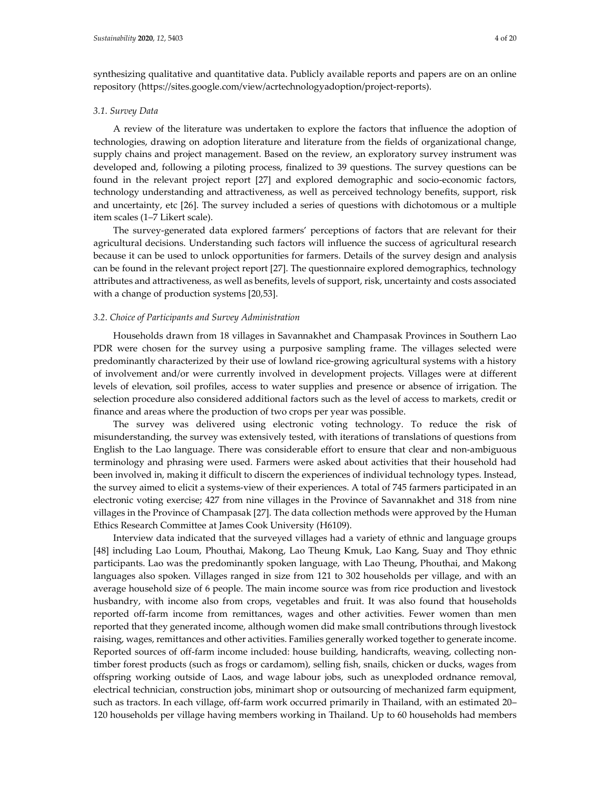synthesizing qualitative and quantitative data. Publicly available reports and papers are on an online repository (https://sites.google.com/view/acrtechnologyadoption/project-reports).

#### *3.1. Survey Data*

A review of the literature was undertaken to explore the factors that influence the adoption of technologies, drawing on adoption literature and literature from the fields of organizational change, supply chains and project management. Based on the review, an exploratory survey instrument was developed and, following a piloting process, finalized to 39 questions. The survey questions can be found in the relevant project report [27] and explored demographic and socio-economic factors, technology understanding and attractiveness, as well as perceived technology benefits, support, risk and uncertainty, etc [26]. The survey included a series of questions with dichotomous or a multiple item scales (1–7 Likert scale).

The survey-generated data explored farmers' perceptions of factors that are relevant for their agricultural decisions. Understanding such factors will influence the success of agricultural research because it can be used to unlock opportunities for farmers. Details of the survey design and analysis can be found in the relevant project report [27]. The questionnaire explored demographics, technology attributes and attractiveness, as well as benefits, levels of support, risk, uncertainty and costs associated with a change of production systems [20,53].

#### *3.2. Choice of Participants and Survey Administration*

Households drawn from 18 villages in Savannakhet and Champasak Provinces in Southern Lao PDR were chosen for the survey using a purposive sampling frame. The villages selected were predominantly characterized by their use of lowland rice-growing agricultural systems with a history of involvement and/or were currently involved in development projects. Villages were at different levels of elevation, soil profiles, access to water supplies and presence or absence of irrigation. The selection procedure also considered additional factors such as the level of access to markets, credit or finance and areas where the production of two crops per year was possible.

The survey was delivered using electronic voting technology. To reduce the risk of misunderstanding, the survey was extensively tested, with iterations of translations of questions from English to the Lao language. There was considerable effort to ensure that clear and non-ambiguous terminology and phrasing were used. Farmers were asked about activities that their household had been involved in, making it difficult to discern the experiences of individual technology types. Instead, the survey aimed to elicit a systems-view of their experiences. A total of 745 farmers participated in an electronic voting exercise; 427 from nine villages in the Province of Savannakhet and 318 from nine villages in the Province of Champasak [27]. The data collection methods were approved by the Human Ethics Research Committee at James Cook University (H6109).

Interview data indicated that the surveyed villages had a variety of ethnic and language groups [48] including Lao Loum, Phouthai, Makong, Lao Theung Kmuk, Lao Kang, Suay and Thoy ethnic participants. Lao was the predominantly spoken language, with Lao Theung, Phouthai, and Makong languages also spoken. Villages ranged in size from 121 to 302 households per village, and with an average household size of 6 people. The main income source was from rice production and livestock husbandry, with income also from crops, vegetables and fruit. It was also found that households reported off-farm income from remittances, wages and other activities. Fewer women than men reported that they generated income, although women did make small contributions through livestock raising, wages, remittances and other activities. Families generally worked together to generate income. Reported sources of off-farm income included: house building, handicrafts, weaving, collecting nontimber forest products (such as frogs or cardamom), selling fish, snails, chicken or ducks, wages from offspring working outside of Laos, and wage labour jobs, such as unexploded ordnance removal, electrical technician, construction jobs, minimart shop or outsourcing of mechanized farm equipment, such as tractors. In each village, off-farm work occurred primarily in Thailand, with an estimated 20– 120 households per village having members working in Thailand. Up to 60 households had members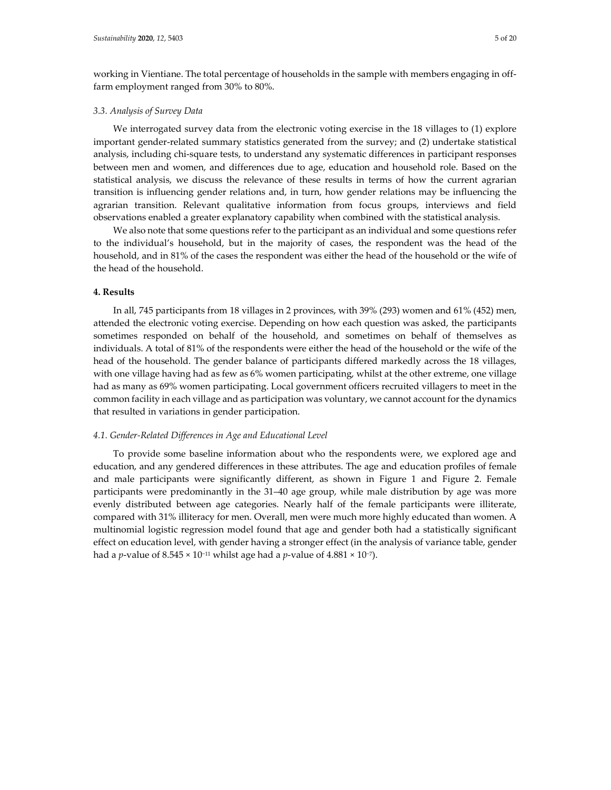working in Vientiane. The total percentage of households in the sample with members engaging in offfarm employment ranged from 30% to 80%.

# *3.3. Analysis of Survey Data*

We interrogated survey data from the electronic voting exercise in the 18 villages to (1) explore important gender-related summary statistics generated from the survey; and (2) undertake statistical analysis, including chi-square tests, to understand any systematic differences in participant responses between men and women, and differences due to age, education and household role. Based on the statistical analysis, we discuss the relevance of these results in terms of how the current agrarian transition is influencing gender relations and, in turn, how gender relations may be influencing the agrarian transition. Relevant qualitative information from focus groups, interviews and field observations enabled a greater explanatory capability when combined with the statistical analysis.

We also note that some questions refer to the participant as an individual and some questions refer to the individual's household, but in the majority of cases, the respondent was the head of the household, and in 81% of the cases the respondent was either the head of the household or the wife of the head of the household.

# **4. Results**

In all, 745 participants from 18 villages in 2 provinces, with 39% (293) women and 61% (452) men, attended the electronic voting exercise. Depending on how each question was asked, the participants sometimes responded on behalf of the household, and sometimes on behalf of themselves as individuals. A total of 81% of the respondents were either the head of the household or the wife of the head of the household. The gender balance of participants differed markedly across the 18 villages, with one village having had as few as 6% women participating, whilst at the other extreme, one village had as many as 69% women participating. Local government officers recruited villagers to meet in the common facility in each village and as participation was voluntary, we cannot account for the dynamics that resulted in variations in gender participation.

## *4.1. Gender-Related Differences in Age and Educational Level*

To provide some baseline information about who the respondents were, we explored age and education, and any gendered differences in these attributes. The age and education profiles of female and male participants were significantly different, as shown in Figure 1 and Figure 2. Female participants were predominantly in the 31–40 age group, while male distribution by age was more evenly distributed between age categories. Nearly half of the female participants were illiterate, compared with 31% illiteracy for men. Overall, men were much more highly educated than women. A multinomial logistic regression model found that age and gender both had a statistically significant effect on education level, with gender having a stronger effect (in the analysis of variance table, gender had a *p*-value of 8.545 × 10−11 whilst age had a *p*-value of 4.881 × 10−7).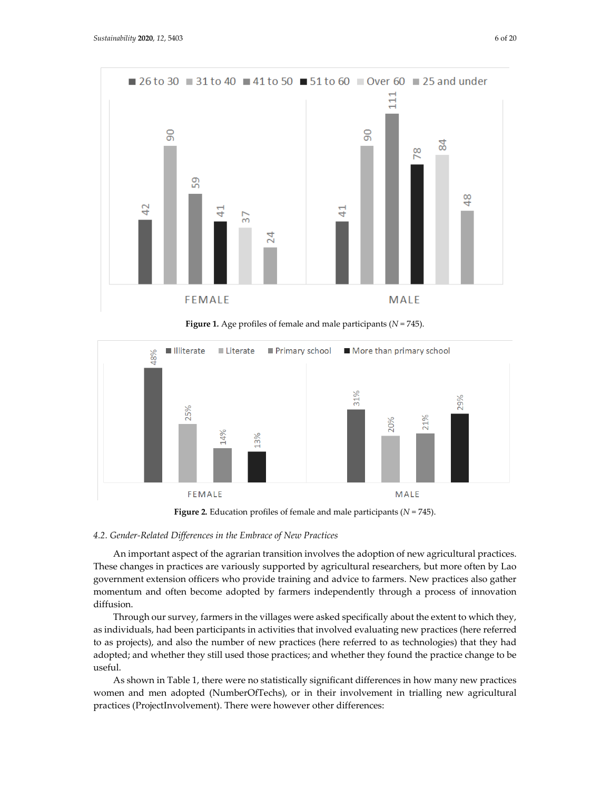

**Figure 1***.* Age profiles of female and male participants (*N* = 745).



**Figure 2***.* Education profiles of female and male participants (*N* = 745).

#### *4.2. Gender-Related Differences in the Embrace of New Practices*

An important aspect of the agrarian transition involves the adoption of new agricultural practices. These changes in practices are variously supported by agricultural researchers, but more often by Lao government extension officers who provide training and advice to farmers. New practices also gather momentum and often become adopted by farmers independently through a process of innovation diffusion.

Through our survey, farmers in the villages were asked specifically about the extent to which they, as individuals, had been participants in activities that involved evaluating new practices (here referred to as projects), and also the number of new practices (here referred to as technologies) that they had adopted; and whether they still used those practices; and whether they found the practice change to be useful.

As shown in Table 1, there were no statistically significant differences in how many new practices women and men adopted (NumberOfTechs), or in their involvement in trialling new agricultural practices (ProjectInvolvement). There were however other differences: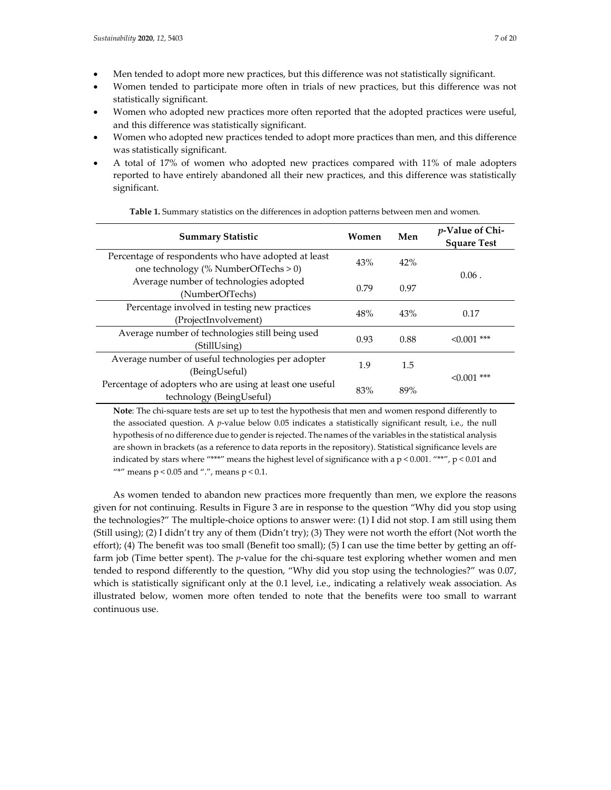- Men tended to adopt more new practices, but this difference was not statistically significant.
- Women tended to participate more often in trials of new practices, but this difference was not statistically significant.
- Women who adopted new practices more often reported that the adopted practices were useful, and this difference was statistically significant.
- Women who adopted new practices tended to adopt more practices than men, and this difference was statistically significant.
- A total of 17% of women who adopted new practices compared with 11% of male adopters reported to have entirely abandoned all their new practices, and this difference was statistically significant.

| <b>Summary Statistic</b>                                                                    | Women | Men  | <i>p</i> -Value of Chi-<br><b>Square Test</b> |
|---------------------------------------------------------------------------------------------|-------|------|-----------------------------------------------|
| Percentage of respondents who have adopted at least<br>one technology (% NumberOfTechs > 0) | 43%   | 42%  | $0.06$ .                                      |
| Average number of technologies adopted<br>(NumberOfTechs)                                   | 0.79  | 0.97 |                                               |
| Percentage involved in testing new practices<br>(ProjectInvolvement)                        | 48%   | 43%  | 0.17                                          |
| Average number of technologies still being used<br>(StillUsing)                             | 0.93  | 0.88 | $\leq 0.001$ ***                              |
| Average number of useful technologies per adopter<br>(BeingUseful)                          | 1.9   | 1.5  | $< 0.001$ ***                                 |
| Percentage of adopters who are using at least one useful<br>technology (BeingUseful)        | 83%   | 89%  |                                               |

**Table 1.** Summary statistics on the differences in adoption patterns between men and women*.*

**Note**: The chi-square tests are set up to test the hypothesis that men and women respond differently to the associated question. A *p*-value below 0.05 indicates a statistically significant result, i.e., the null hypothesis of no difference due to gender is rejected. The names of the variables in the statistical analysis are shown in brackets (as a reference to data reports in the repository). Statistical significance levels are indicated by stars where "\*\*\*" means the highest level of significance with a  $p < 0.001$ . "\*\*",  $p < 0.01$  and "\*" means  $p < 0.05$  and ".", means  $p < 0.1$ .

As women tended to abandon new practices more frequently than men, we explore the reasons given for not continuing. Results in Figure 3 are in response to the question "Why did you stop using the technologies?" The multiple-choice options to answer were: (1) I did not stop. I am still using them (Still using); (2) I didn't try any of them (Didn't try); (3) They were not worth the effort (Not worth the effort); (4) The benefit was too small (Benefit too small); (5) I can use the time better by getting an offfarm job (Time better spent). The *p*-value for the chi-square test exploring whether women and men tended to respond differently to the question, "Why did you stop using the technologies?" was 0.07, which is statistically significant only at the 0.1 level, i.e., indicating a relatively weak association. As illustrated below, women more often tended to note that the benefits were too small to warrant continuous use.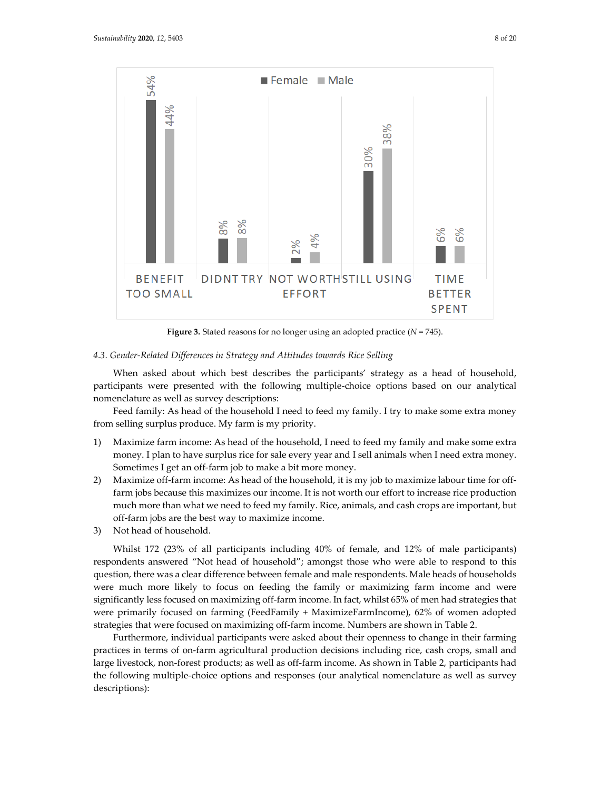

**Figure 3.** Stated reasons for no longer using an adopted practice  $(N = 745)$ .

#### *4.3. Gender-Related Differences in Strategy and Attitudes towards Rice Selling*

When asked about which best describes the participants' strategy as a head of household, participants were presented with the following multiple-choice options based on our analytical nomenclature as well as survey descriptions:

Feed family: As head of the household I need to feed my family. I try to make some extra money from selling surplus produce. My farm is my priority.

- 1) Maximize farm income: As head of the household, I need to feed my family and make some extra money. I plan to have surplus rice for sale every year and I sell animals when I need extra money. Sometimes I get an off-farm job to make a bit more money.
- 2) Maximize off-farm income: As head of the household, it is my job to maximize labour time for offfarm jobs because this maximizes our income. It is not worth our effort to increase rice production much more than what we need to feed my family. Rice, animals, and cash crops are important, but off-farm jobs are the best way to maximize income.
- 3) Not head of household.

Whilst 172 (23% of all participants including 40% of female, and 12% of male participants) respondents answered "Not head of household"; amongst those who were able to respond to this question, there was a clear difference between female and male respondents. Male heads of households were much more likely to focus on feeding the family or maximizing farm income and were significantly less focused on maximizing off-farm income. In fact, whilst 65% of men had strategies that were primarily focused on farming (FeedFamily + MaximizeFarmIncome), 62% of women adopted strategies that were focused on maximizing off-farm income. Numbers are shown in Table 2.

Furthermore, individual participants were asked about their openness to change in their farming practices in terms of on-farm agricultural production decisions including rice, cash crops, small and large livestock, non-forest products; as well as off-farm income. As shown in Table 2, participants had the following multiple-choice options and responses (our analytical nomenclature as well as survey descriptions):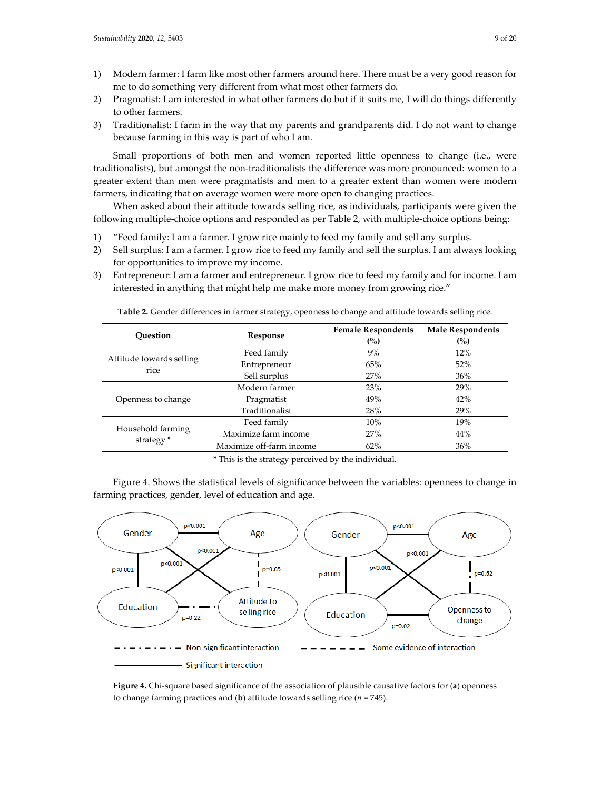- 1) Modern farmer: I farm like most other farmers around here. There must be a very good reason for me to do something very different from what most other farmers do.
- 2) Pragmatist: I am interested in what other farmers do but if it suits me, I will do things differently to other farmers.
- 3) Traditionalist: I farm in the way that my parents and grandparents did. I do not want to change because farming in this way is part of who I am.

Small proportions of both men and women reported little openness to change (i.e., were traditionalists), but amongst the non-traditionalists the difference was more pronounced: women to a greater extent than men were pragmatists and men to a greater extent than women were modern farmers, indicating that on average women were more open to changing practices.

When asked about their attitude towards selling rice, as individuals, participants were given the following multiple-choice options and responded as per Table 2, with multiple-choice options being:

- 1) "Feed family: I am a farmer. I grow rice mainly to feed my family and sell any surplus.
- 2) Sell surplus: I am a farmer. I grow rice to feed my family and sell the surplus. I am always looking for opportunities to improve my income.
- 3) Entrepreneur: I am a farmer and entrepreneur. I grow rice to feed my family and for income. I am interested in anything that might help me make more money from growing rice."

| Ouestion                                   | Response                 | <b>Female Respondents</b><br>(%) | <b>Male Respondents</b><br>(%) |
|--------------------------------------------|--------------------------|----------------------------------|--------------------------------|
| Attitude towards selling<br>rice           | Feed family              | 9%                               | 12%                            |
|                                            | 65%<br>Entrepreneur      |                                  | 52%                            |
|                                            | Sell surplus<br>27%      |                                  | 36%                            |
| Openness to change                         | Modern farmer            | 23%                              |                                |
|                                            | Pragmatist               | 49%                              | 42%                            |
|                                            | Traditionalist           | 28%                              | 29%                            |
| Household farming<br>strategy <sup>*</sup> | Feed family              | 10%                              | 19%                            |
|                                            | Maximize farm income     | 27%                              | 44%                            |
|                                            | Maximize off-farm income | 62%                              | 36%                            |

**Table 2.** Gender differences in farmer strategy, openness to change and attitude towards selling rice.

\* This is the strategy perceived by the individual.

Figure 4. Shows the statistical levels of significance between the variables: openness to change in farming practices, gender, level of education and age.



**Figure 4.** Chi-square based significance of the association of plausible causative factors for (**a**) openness to change farming practices and (**b**) attitude towards selling rice (*n* = 745).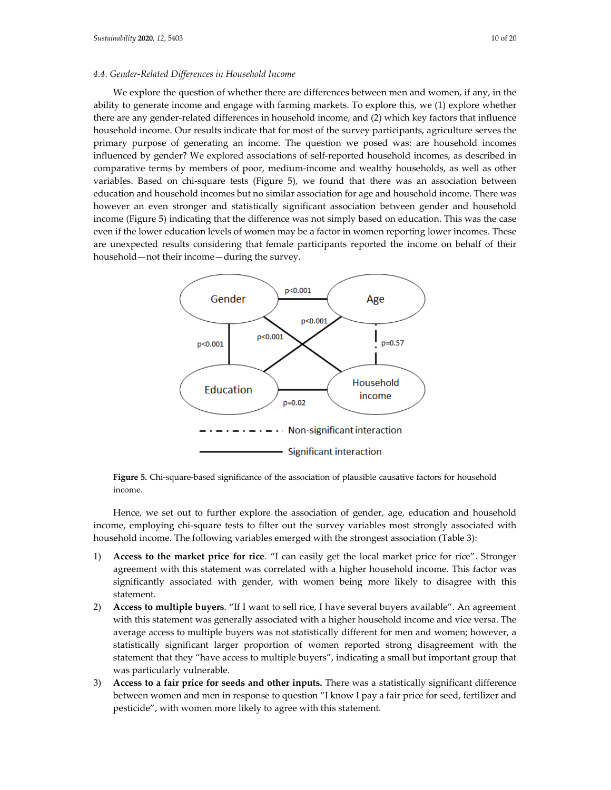#### *4.4. Gender-Related Differences in Household Income*

We explore the question of whether there are differences between men and women, if any, in the ability to generate income and engage with farming markets. To explore this, we (1) explore whether there are any gender-related differences in household income, and (2) which key factors that influence household income. Our results indicate that for most of the survey participants, agriculture serves the primary purpose of generating an income. The question we posed was: are household incomes influenced by gender? We explored associations of self-reported household incomes, as described in comparative terms by members of poor, medium-income and wealthy households, as well as other variables. Based on chi-square tests (Figure 5), we found that there was an association between education and household incomes but no similar association for age and household income. There was however an even stronger and statistically significant association between gender and household income (Figure 5) indicating that the difference was not simply based on education. This was the case even if the lower education levels of women may be a factor in women reporting lower incomes. These are unexpected results considering that female participants reported the income on behalf of their household—not their income—during the survey.



**Figure 5.** Chi-square-based significance of the association of plausible causative factors for household income.

Hence, we set out to further explore the association of gender, age, education and household income, employing chi-square tests to filter out the survey variables most strongly associated with household income. The following variables emerged with the strongest association (Table 3):

- 1) **Access to the market price for rice**. "I can easily get the local market price for rice". Stronger agreement with this statement was correlated with a higher household income. This factor was significantly associated with gender, with women being more likely to disagree with this statement.
- 2) **Access to multiple buyers**. "If I want to sell rice, I have several buyers available". An agreement with this statement was generally associated with a higher household income and vice versa. The average access to multiple buyers was not statistically different for men and women; however, a statistically significant larger proportion of women reported strong disagreement with the statement that they "have access to multiple buyers", indicating a small but important group that was particularly vulnerable.
- 3) **Access to a fair price for seeds and other inputs.** There was a statistically significant difference between women and men in response to question "I know I pay a fair price for seed, fertilizer and pesticide", with women more likely to agree with this statement.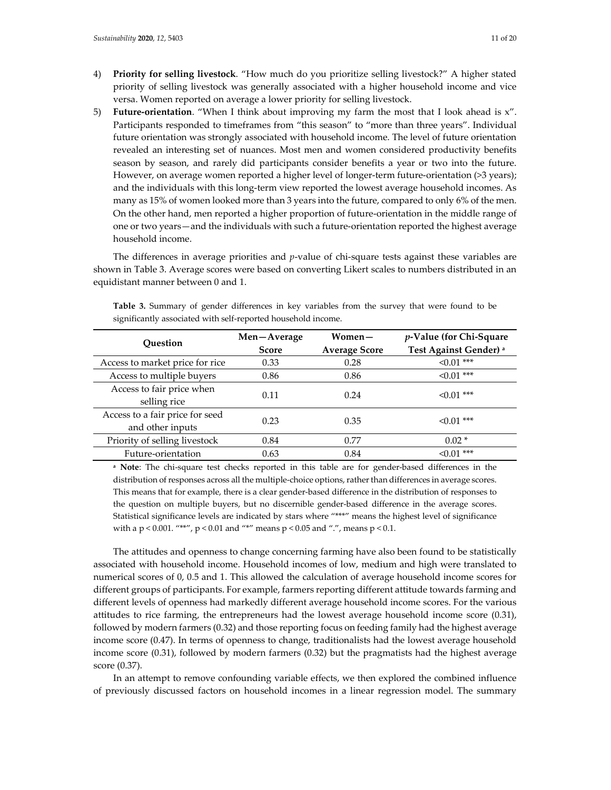- 4) **Priority for selling livestock**. "How much do you prioritize selling livestock?" A higher stated priority of selling livestock was generally associated with a higher household income and vice versa. Women reported on average a lower priority for selling livestock.
- 5) **Future-orientation**. "When I think about improving my farm the most that I look ahead is x". Participants responded to timeframes from "this season" to "more than three years". Individual future orientation was strongly associated with household income. The level of future orientation revealed an interesting set of nuances. Most men and women considered productivity benefits season by season, and rarely did participants consider benefits a year or two into the future. However, on average women reported a higher level of longer-term future-orientation (>3 years); and the individuals with this long-term view reported the lowest average household incomes. As many as 15% of women looked more than 3 years into the future, compared to only 6% of the men. On the other hand, men reported a higher proportion of future-orientation in the middle range of one or two years—and the individuals with such a future-orientation reported the highest average household income.

The differences in average priorities and *p*-value of chi-square tests against these variables are shown in Table 3. Average scores were based on converting Likert scales to numbers distributed in an equidistant manner between 0 and 1.

| <b>Ouestion</b>                                     | Men-Average<br><b>Score</b> | Women-<br><b>Average Score</b> | <i>p</i> -Value (for Chi-Square<br>Test Against Gender) <sup>a</sup> |
|-----------------------------------------------------|-----------------------------|--------------------------------|----------------------------------------------------------------------|
| Access to market price for rice                     | 0.33                        | 0.28                           | $\leq 0.01$ ***                                                      |
| Access to multiple buyers                           | 0.86                        | 0.86                           | $\leq 0.01$ ***                                                      |
| Access to fair price when<br>selling rice           | 0.11                        | 0.24                           | $< 0.01$ ***                                                         |
| Access to a fair price for seed<br>and other inputs | 0.23                        | 0.35                           | $\leq 0.01$ ***                                                      |
| Priority of selling livestock                       | 0.84                        | 0.77                           | $0.02*$                                                              |
| Future-orientation                                  | 0.63                        | 0.84                           | $< 0.01$ ***                                                         |

**Table 3.** Summary of gender differences in key variables from the survey that were found to be significantly associated with self-reported household income.

**<sup>a</sup> Note**: The chi-square test checks reported in this table are for gender-based differences in the distribution of responses across all the multiple-choice options, rather than differences in average scores. This means that for example, there is a clear gender-based difference in the distribution of responses to the question on multiple buyers, but no discernible gender-based difference in the average scores. Statistical significance levels are indicated by stars where "\*\*\*" means the highest level of significance with a p < 0.001. "\*\*", p < 0.01 and "\*" means p < 0.05 and ".", means p < 0.1.

The attitudes and openness to change concerning farming have also been found to be statistically associated with household income. Household incomes of low, medium and high were translated to numerical scores of 0, 0.5 and 1. This allowed the calculation of average household income scores for different groups of participants. For example, farmers reporting different attitude towards farming and different levels of openness had markedly different average household income scores. For the various attitudes to rice farming, the entrepreneurs had the lowest average household income score (0.31), followed by modern farmers (0.32) and those reporting focus on feeding family had the highest average income score (0.47). In terms of openness to change, traditionalists had the lowest average household income score (0.31), followed by modern farmers (0.32) but the pragmatists had the highest average score (0.37).

In an attempt to remove confounding variable effects, we then explored the combined influence of previously discussed factors on household incomes in a linear regression model. The summary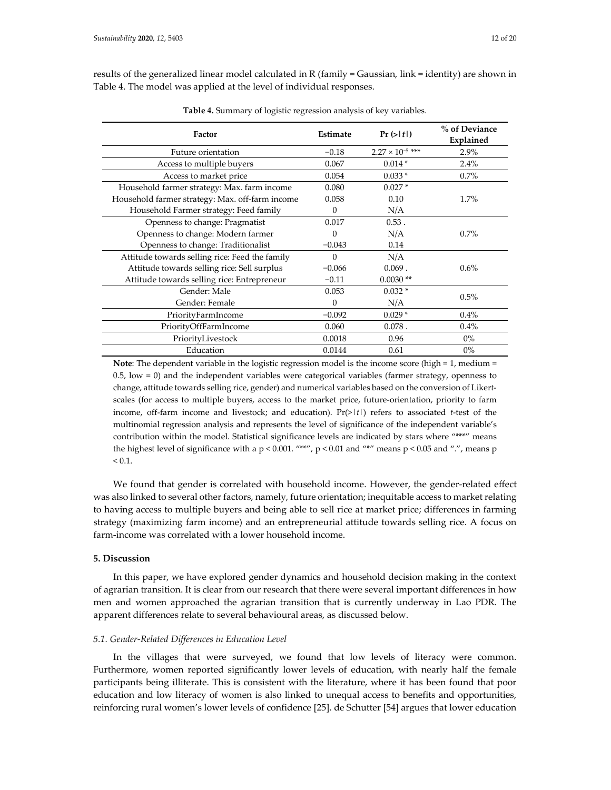results of the generalized linear model calculated in R (family = Gaussian, link = identity) are shown in Table 4. The model was applied at the level of individual responses.

| Factor                                          | Estimate | Pr(> t )                  | % of Deviance<br>Explained |  |
|-------------------------------------------------|----------|---------------------------|----------------------------|--|
| Future orientation                              | $-0.18$  | $2.27 \times 10^{-5}$ *** | 2.9%                       |  |
| Access to multiple buyers                       | 0.067    | $0.014*$                  | 2.4%                       |  |
| Access to market price                          | 0.054    | $0.033*$                  | $0.7\%$                    |  |
| Household farmer strategy: Max. farm income     | 0.080    | $0.027*$                  |                            |  |
| Household farmer strategy: Max. off-farm income | 0.058    | 0.10                      | 1.7%                       |  |
| Household Farmer strategy: Feed family          | $\Omega$ | N/A                       |                            |  |
| Openness to change: Pragmatist                  | 0.017    | $0.53$ .                  |                            |  |
| Openness to change: Modern farmer               | $\Omega$ | N/A                       | $0.7\%$                    |  |
| Openness to change: Traditionalist              | $-0.043$ | 0.14                      |                            |  |
| Attitude towards selling rice: Feed the family  | $\Omega$ | N/A                       |                            |  |
| Attitude towards selling rice: Sell surplus     | $-0.066$ | $0.069$ .                 | $0.6\%$                    |  |
| Attitude towards selling rice: Entrepreneur     | $-0.11$  | $0.0030**$                |                            |  |
| Gender: Male                                    | 0.053    | $0.032*$                  | 0.5%                       |  |
| Gender: Female                                  | $\Omega$ | N/A                       |                            |  |
| PriorityFarmIncome                              | $-0.092$ | $0.029*$                  | $0.4\%$                    |  |
| PriorityOffFarmIncome                           | 0.060    | $0.078$ .                 | 0.4%                       |  |
| PriorityLivestock                               | 0.0018   | 0.96                      | $0\%$                      |  |
| Education                                       | 0.0144   | 0.61                      | $0\%$                      |  |

**Table 4.** Summary of logistic regression analysis of key variables.

**Note**: The dependent variable in the logistic regression model is the income score (high = 1, medium =  $0.5$ , low  $= 0$ ) and the independent variables were categorical variables (farmer strategy, openness to change, attitude towards selling rice, gender) and numerical variables based on the conversion of Likertscales (for access to multiple buyers, access to the market price, future-orientation, priority to farm income, off-farm income and livestock; and education).  $Pr(> |t|)$  refers to associated *t*-test of the multinomial regression analysis and represents the level of significance of the independent variable's contribution within the model. Statistical significance levels are indicated by stars where "\*\*\*" means the highest level of significance with a p < 0.001. "\*\*", p < 0.01 and "\*" means p < 0.05 and ".", means p  $< 0.1.$ 

We found that gender is correlated with household income. However, the gender-related effect was also linked to several other factors, namely, future orientation; inequitable access to market relating to having access to multiple buyers and being able to sell rice at market price; differences in farming strategy (maximizing farm income) and an entrepreneurial attitude towards selling rice. A focus on farm-income was correlated with a lower household income.

# **5. Discussion**

In this paper, we have explored gender dynamics and household decision making in the context of agrarian transition. It is clear from our research that there were several important differences in how men and women approached the agrarian transition that is currently underway in Lao PDR. The apparent differences relate to several behavioural areas, as discussed below.

#### *5.1. Gender-Related Differences in Education Level*

In the villages that were surveyed, we found that low levels of literacy were common. Furthermore, women reported significantly lower levels of education, with nearly half the female participants being illiterate. This is consistent with the literature, where it has been found that poor education and low literacy of women is also linked to unequal access to benefits and opportunities, reinforcing rural women's lower levels of confidence [25]. de Schutter [54] argues that lower education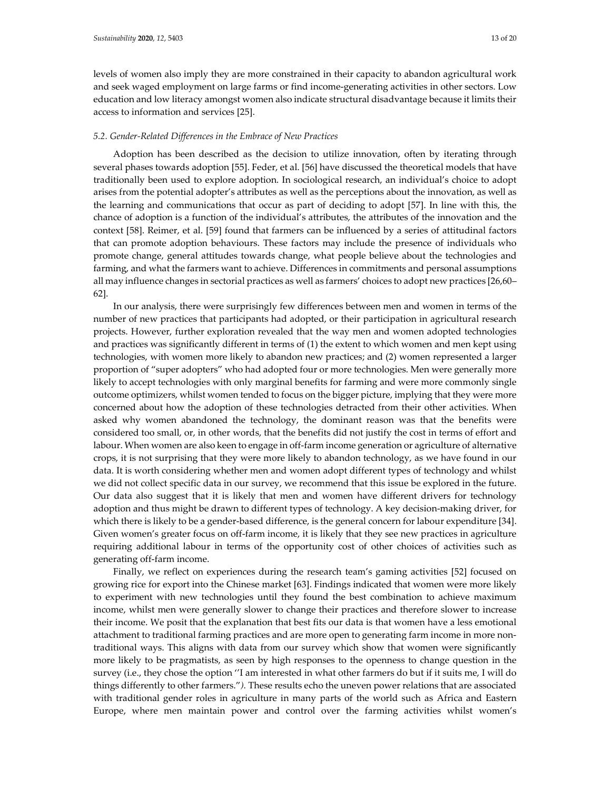levels of women also imply they are more constrained in their capacity to abandon agricultural work and seek waged employment on large farms or find income-generating activities in other sectors. Low education and low literacy amongst women also indicate structural disadvantage because it limits their access to information and services [25].

#### *5.2. Gender-Related Differences in the Embrace of New Practices*

Adoption has been described as the decision to utilize innovation, often by iterating through several phases towards adoption [55]. Feder, et al. [56] have discussed the theoretical models that have traditionally been used to explore adoption. In sociological research, an individual's choice to adopt arises from the potential adopter's attributes as well as the perceptions about the innovation, as well as the learning and communications that occur as part of deciding to adopt [57]. In line with this, the chance of adoption is a function of the individual's attributes, the attributes of the innovation and the context [58]. Reimer, et al. [59] found that farmers can be influenced by a series of attitudinal factors that can promote adoption behaviours. These factors may include the presence of individuals who promote change, general attitudes towards change, what people believe about the technologies and farming, and what the farmers want to achieve. Differences in commitments and personal assumptions all may influence changes in sectorial practices as well as farmers' choices to adopt new practices [26,60– 62].

In our analysis, there were surprisingly few differences between men and women in terms of the number of new practices that participants had adopted, or their participation in agricultural research projects. However, further exploration revealed that the way men and women adopted technologies and practices was significantly different in terms of (1) the extent to which women and men kept using technologies, with women more likely to abandon new practices; and (2) women represented a larger proportion of "super adopters" who had adopted four or more technologies. Men were generally more likely to accept technologies with only marginal benefits for farming and were more commonly single outcome optimizers, whilst women tended to focus on the bigger picture, implying that they were more concerned about how the adoption of these technologies detracted from their other activities. When asked why women abandoned the technology, the dominant reason was that the benefits were considered too small, or, in other words, that the benefits did not justify the cost in terms of effort and labour. When women are also keen to engage in off-farm income generation or agriculture of alternative crops, it is not surprising that they were more likely to abandon technology, as we have found in our data. It is worth considering whether men and women adopt different types of technology and whilst we did not collect specific data in our survey, we recommend that this issue be explored in the future. Our data also suggest that it is likely that men and women have different drivers for technology adoption and thus might be drawn to different types of technology. A key decision-making driver, for which there is likely to be a gender-based difference, is the general concern for labour expenditure [34]. Given women's greater focus on off-farm income, it is likely that they see new practices in agriculture requiring additional labour in terms of the opportunity cost of other choices of activities such as generating off-farm income.

Finally, we reflect on experiences during the research team's gaming activities [52] focused on growing rice for export into the Chinese market [63]. Findings indicated that women were more likely to experiment with new technologies until they found the best combination to achieve maximum income, whilst men were generally slower to change their practices and therefore slower to increase their income. We posit that the explanation that best fits our data is that women have a less emotional attachment to traditional farming practices and are more open to generating farm income in more nontraditional ways. This aligns with data from our survey which show that women were significantly more likely to be pragmatists, as seen by high responses to the openness to change question in the survey (i.e., they chose the option ''I am interested in what other farmers do but if it suits me, I will do things differently to other farmers."*).* These results echo the uneven power relations that are associated with traditional gender roles in agriculture in many parts of the world such as Africa and Eastern Europe, where men maintain power and control over the farming activities whilst women's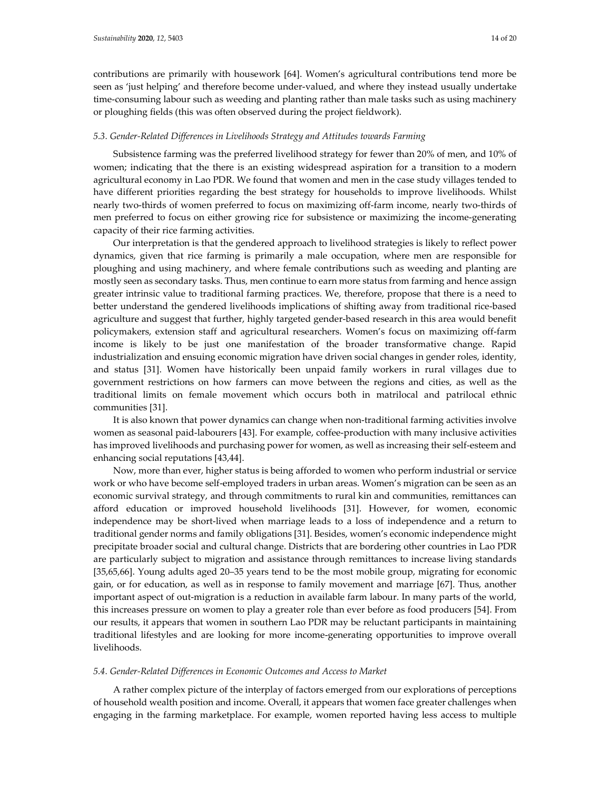contributions are primarily with housework [64]. Women's agricultural contributions tend more be seen as 'just helping' and therefore become under-valued, and where they instead usually undertake time-consuming labour such as weeding and planting rather than male tasks such as using machinery or ploughing fields (this was often observed during the project fieldwork).

#### *5.3. Gender-Related Differences in Livelihoods Strategy and Attitudes towards Farming*

Subsistence farming was the preferred livelihood strategy for fewer than 20% of men, and 10% of women; indicating that the there is an existing widespread aspiration for a transition to a modern agricultural economy in Lao PDR. We found that women and men in the case study villages tended to have different priorities regarding the best strategy for households to improve livelihoods. Whilst nearly two-thirds of women preferred to focus on maximizing off-farm income, nearly two-thirds of men preferred to focus on either growing rice for subsistence or maximizing the income-generating capacity of their rice farming activities.

Our interpretation is that the gendered approach to livelihood strategies is likely to reflect power dynamics, given that rice farming is primarily a male occupation, where men are responsible for ploughing and using machinery, and where female contributions such as weeding and planting are mostly seen as secondary tasks. Thus, men continue to earn more status from farming and hence assign greater intrinsic value to traditional farming practices. We, therefore, propose that there is a need to better understand the gendered livelihoods implications of shifting away from traditional rice-based agriculture and suggest that further, highly targeted gender-based research in this area would benefit policymakers, extension staff and agricultural researchers. Women's focus on maximizing off-farm income is likely to be just one manifestation of the broader transformative change. Rapid industrialization and ensuing economic migration have driven social changes in gender roles, identity, and status [31]. Women have historically been unpaid family workers in rural villages due to government restrictions on how farmers can move between the regions and cities, as well as the traditional limits on female movement which occurs both in matrilocal and patrilocal ethnic communities [31].

It is also known that power dynamics can change when non-traditional farming activities involve women as seasonal paid-labourers [43]. For example, coffee-production with many inclusive activities has improved livelihoods and purchasing power for women, as well as increasing their self-esteem and enhancing social reputations [43,44].

Now, more than ever, higher status is being afforded to women who perform industrial or service work or who have become self-employed traders in urban areas. Women's migration can be seen as an economic survival strategy, and through commitments to rural kin and communities, remittances can afford education or improved household livelihoods [31]. However, for women, economic independence may be short-lived when marriage leads to a loss of independence and a return to traditional gender norms and family obligations [31]. Besides, women's economic independence might precipitate broader social and cultural change. Districts that are bordering other countries in Lao PDR are particularly subject to migration and assistance through remittances to increase living standards [35,65,66]. Young adults aged 20–35 years tend to be the most mobile group, migrating for economic gain, or for education, as well as in response to family movement and marriage [67]. Thus, another important aspect of out-migration is a reduction in available farm labour. In many parts of the world, this increases pressure on women to play a greater role than ever before as food producers [54]. From our results, it appears that women in southern Lao PDR may be reluctant participants in maintaining traditional lifestyles and are looking for more income-generating opportunities to improve overall livelihoods.

#### *5.4. Gender-Related Differences in Economic Outcomes and Access to Market*

A rather complex picture of the interplay of factors emerged from our explorations of perceptions of household wealth position and income. Overall, it appears that women face greater challenges when engaging in the farming marketplace. For example, women reported having less access to multiple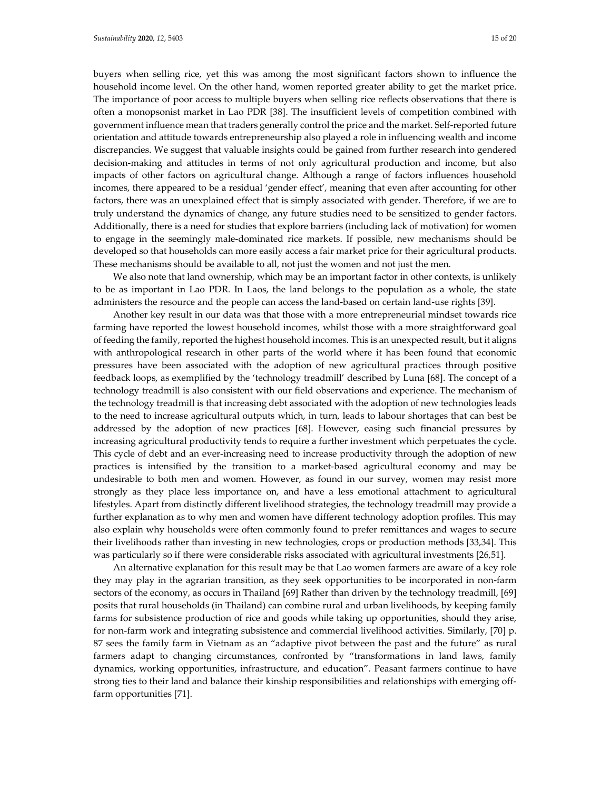buyers when selling rice, yet this was among the most significant factors shown to influence the household income level. On the other hand, women reported greater ability to get the market price. The importance of poor access to multiple buyers when selling rice reflects observations that there is often a monopsonist market in Lao PDR [38]. The insufficient levels of competition combined with government influence mean that traders generally control the price and the market. Self-reported future orientation and attitude towards entrepreneurship also played a role in influencing wealth and income discrepancies. We suggest that valuable insights could be gained from further research into gendered decision-making and attitudes in terms of not only agricultural production and income, but also impacts of other factors on agricultural change. Although a range of factors influences household incomes, there appeared to be a residual 'gender effect', meaning that even after accounting for other factors, there was an unexplained effect that is simply associated with gender. Therefore, if we are to truly understand the dynamics of change, any future studies need to be sensitized to gender factors. Additionally, there is a need for studies that explore barriers (including lack of motivation) for women to engage in the seemingly male-dominated rice markets. If possible, new mechanisms should be developed so that households can more easily access a fair market price for their agricultural products. These mechanisms should be available to all, not just the women and not just the men.

We also note that land ownership, which may be an important factor in other contexts, is unlikely to be as important in Lao PDR. In Laos, the land belongs to the population as a whole, the state administers the resource and the people can access the land-based on certain land-use rights [39].

Another key result in our data was that those with a more entrepreneurial mindset towards rice farming have reported the lowest household incomes, whilst those with a more straightforward goal of feeding the family, reported the highest household incomes. This is an unexpected result, but it aligns with anthropological research in other parts of the world where it has been found that economic pressures have been associated with the adoption of new agricultural practices through positive feedback loops, as exemplified by the 'technology treadmill' described by Luna [68]. The concept of a technology treadmill is also consistent with our field observations and experience. The mechanism of the technology treadmill is that increasing debt associated with the adoption of new technologies leads to the need to increase agricultural outputs which, in turn, leads to labour shortages that can best be addressed by the adoption of new practices [68]. However, easing such financial pressures by increasing agricultural productivity tends to require a further investment which perpetuates the cycle. This cycle of debt and an ever-increasing need to increase productivity through the adoption of new practices is intensified by the transition to a market-based agricultural economy and may be undesirable to both men and women. However, as found in our survey, women may resist more strongly as they place less importance on, and have a less emotional attachment to agricultural lifestyles. Apart from distinctly different livelihood strategies, the technology treadmill may provide a further explanation as to why men and women have different technology adoption profiles. This may also explain why households were often commonly found to prefer remittances and wages to secure their livelihoods rather than investing in new technologies, crops or production methods [33,34]. This was particularly so if there were considerable risks associated with agricultural investments [26,51].

An alternative explanation for this result may be that Lao women farmers are aware of a key role they may play in the agrarian transition, as they seek opportunities to be incorporated in non-farm sectors of the economy, as occurs in Thailand [69] Rather than driven by the technology treadmill, [69] posits that rural households (in Thailand) can combine rural and urban livelihoods, by keeping family farms for subsistence production of rice and goods while taking up opportunities, should they arise, for non-farm work and integrating subsistence and commercial livelihood activities. Similarly, [70] p. 87 sees the family farm in Vietnam as an "adaptive pivot between the past and the future" as rural farmers adapt to changing circumstances, confronted by "transformations in land laws, family dynamics, working opportunities, infrastructure, and education". Peasant farmers continue to have strong ties to their land and balance their kinship responsibilities and relationships with emerging offfarm opportunities [71].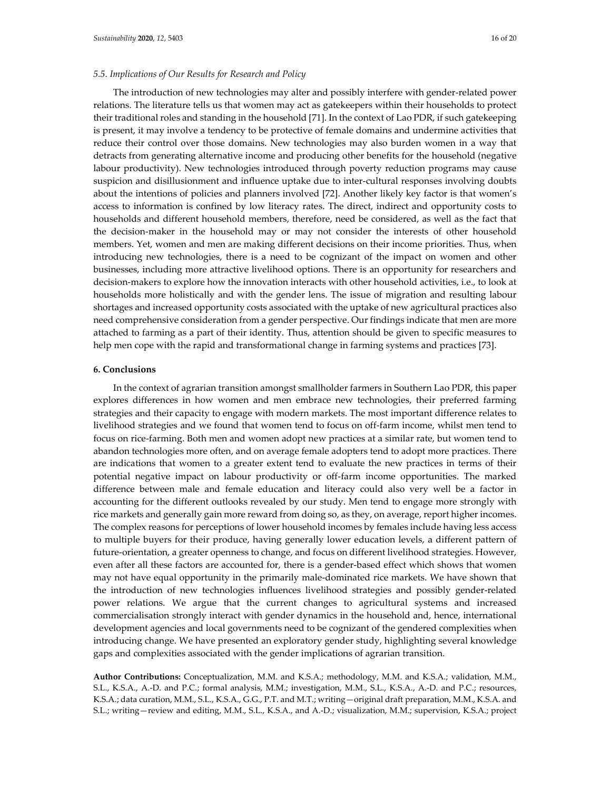#### *5.5. Implications of Our Results for Research and Policy*

The introduction of new technologies may alter and possibly interfere with gender-related power relations. The literature tells us that women may act as gatekeepers within their households to protect their traditional roles and standing in the household [71]. In the context of Lao PDR, if such gatekeeping is present, it may involve a tendency to be protective of female domains and undermine activities that reduce their control over those domains. New technologies may also burden women in a way that detracts from generating alternative income and producing other benefits for the household (negative labour productivity). New technologies introduced through poverty reduction programs may cause suspicion and disillusionment and influence uptake due to inter-cultural responses involving doubts about the intentions of policies and planners involved [72]. Another likely key factor is that women's access to information is confined by low literacy rates. The direct, indirect and opportunity costs to households and different household members, therefore, need be considered, as well as the fact that the decision-maker in the household may or may not consider the interests of other household members. Yet, women and men are making different decisions on their income priorities. Thus, when introducing new technologies, there is a need to be cognizant of the impact on women and other businesses, including more attractive livelihood options. There is an opportunity for researchers and decision-makers to explore how the innovation interacts with other household activities, i.e., to look at households more holistically and with the gender lens. The issue of migration and resulting labour shortages and increased opportunity costs associated with the uptake of new agricultural practices also need comprehensive consideration from a gender perspective. Our findings indicate that men are more attached to farming as a part of their identity. Thus, attention should be given to specific measures to help men cope with the rapid and transformational change in farming systems and practices [73].

## **6. Conclusions**

In the context of agrarian transition amongst smallholder farmers in Southern Lao PDR, this paper explores differences in how women and men embrace new technologies, their preferred farming strategies and their capacity to engage with modern markets. The most important difference relates to livelihood strategies and we found that women tend to focus on off-farm income, whilst men tend to focus on rice-farming. Both men and women adopt new practices at a similar rate, but women tend to abandon technologies more often, and on average female adopters tend to adopt more practices. There are indications that women to a greater extent tend to evaluate the new practices in terms of their potential negative impact on labour productivity or off-farm income opportunities. The marked difference between male and female education and literacy could also very well be a factor in accounting for the different outlooks revealed by our study. Men tend to engage more strongly with rice markets and generally gain more reward from doing so, as they, on average, report higher incomes. The complex reasons for perceptions of lower household incomes by females include having less access to multiple buyers for their produce, having generally lower education levels, a different pattern of future-orientation, a greater openness to change, and focus on different livelihood strategies. However, even after all these factors are accounted for, there is a gender-based effect which shows that women may not have equal opportunity in the primarily male-dominated rice markets. We have shown that the introduction of new technologies influences livelihood strategies and possibly gender-related power relations. We argue that the current changes to agricultural systems and increased commercialisation strongly interact with gender dynamics in the household and, hence, international development agencies and local governments need to be cognizant of the gendered complexities when introducing change. We have presented an exploratory gender study, highlighting several knowledge gaps and complexities associated with the gender implications of agrarian transition.

**Author Contributions:** Conceptualization, M.M. and K.S.A.; methodology, M.M. and K.S.A.; validation, M.M., S.L., K.S.A., A.-D. and P.C.; formal analysis, M.M.; investigation, M.M., S.L., K.S.A., A.-D. and P.C.; resources, K.S.A.; data curation, M.M., S.L., K.S.A., G.G., P.T. and M.T.; writing—original draft preparation, M.M., K.S.A. and S.L.; writing—review and editing, M.M., S.L., K.S.A., and A.-D.; visualization, M.M.; supervision, K.S.A.; project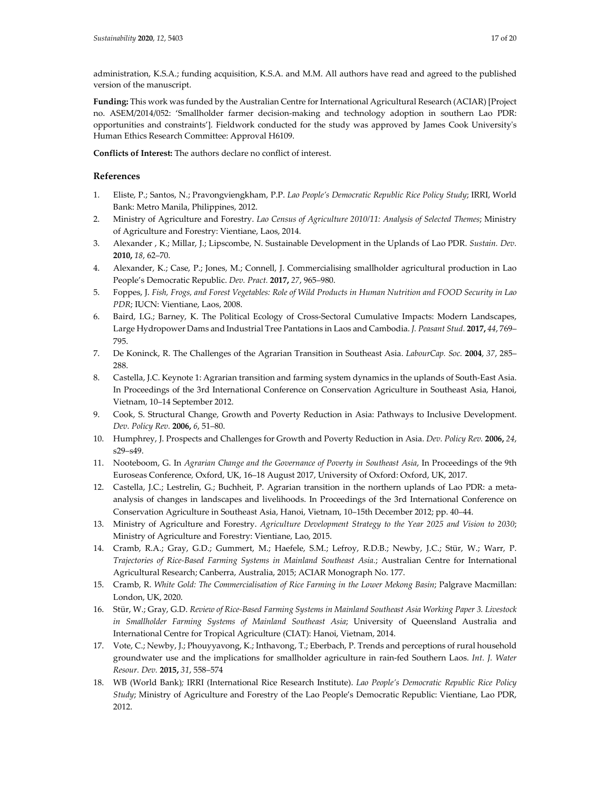administration, K.S.A.; funding acquisition, K.S.A. and M.M. All authors have read and agreed to the published version of the manuscript.

**Funding:** This work was funded by the Australian Centre for International Agricultural Research (ACIAR) [Project no. ASEM/2014/052: 'Smallholder farmer decision-making and technology adoption in southern Lao PDR: opportunities and constraints']. Fieldwork conducted for the study was approved by James Cook University's Human Ethics Research Committee: Approval H6109.

**Conflicts of Interest:** The authors declare no conflict of interest.

# **References**

- 1. Eliste, P.; Santos, N.; Pravongviengkham, P.P. *Lao People's Democratic Republic Rice Policy Study*; IRRI, World Bank: Metro Manila, Philippines, 2012.
- 2. Ministry of Agriculture and Forestry. *Lao Census of Agriculture 2010/11: Analysis of Selected Themes*; Ministry of Agriculture and Forestry: Vientiane, Laos, 2014.
- 3. Alexander , K.; Millar, J.; Lipscombe, N. Sustainable Development in the Uplands of Lao PDR. *Sustain. Dev.*  **2010,** *18*, 62–70.
- 4. Alexander, K.; Case, P.; Jones, M.; Connell, J. Commercialising smallholder agricultural production in Lao People's Democratic Republic. *Dev. Pract.* **2017,** *27*, 965–980.
- 5. Foppes, J. *Fish, Frogs, and Forest Vegetables: Role of Wild Products in Human Nutrition and FOOD Security in Lao PDR*; IUCN: Vientiane, Laos, 2008.
- 6. Baird, I.G.; Barney, K. The Political Ecology of Cross-Sectoral Cumulative Impacts: Modern Landscapes, Large Hydropower Dams and Industrial Tree Pantations in Laos and Cambodia. *J. Peasant Stud.* **2017,** *44*, 769– 795.
- 7. De Koninck, R. The Challenges of the Agrarian Transition in Southeast Asia. *LabourCap. Soc.* **2004**, *37*, 285– 288.
- 8. Castella, J.C. Keynote 1: Agrarian transition and farming system dynamics in the uplands of South-East Asia. In Proceedings of the 3rd International Conference on Conservation Agriculture in Southeast Asia, Hanoi, Vietnam, 10–14 September 2012.
- 9. Cook, S. Structural Change, Growth and Poverty Reduction in Asia: Pathways to Inclusive Development. *Dev. Policy Rev.* **2006,** *6*, 51–80.
- 10. Humphrey, J. Prospects and Challenges for Growth and Poverty Reduction in Asia. *Dev. Policy Rev.* **2006,** *24*, s29–s49.
- 11. Nooteboom, G. In *Agrarian Change and the Governance of Poverty in Southeast Asia*, In Proceedings of the 9th Euroseas Conference*,* Oxford, UK, 16–18 August 2017, University of Oxford: Oxford, UK, 2017.
- 12. Castella, J.C.; Lestrelin, G.; Buchheit, P. Agrarian transition in the northern uplands of Lao PDR: a metaanalysis of changes in landscapes and livelihoods. In Proceedings of the 3rd International Conference on Conservation Agriculture in Southeast Asia, Hanoi, Vietnam, 10–15th December 2012; pp. 40–44.
- 13. Ministry of Agriculture and Forestry. *Agriculture Development Strategy to the Year 2025 and Vision to 2030*; Ministry of Agriculture and Forestry: Vientiane, Lao, 2015.
- 14. Cramb, R.A.; Gray, G.D.; Gummert, M.; Haefele, S.M.; Lefroy, R.D.B.; Newby, J.C.; Stür, W.; Warr, P. *Trajectories of Rice-Based Farming Systems in Mainland Southeast Asia.*; Australian Centre for International Agricultural Research; Canberra, Australia, 2015; ACIAR Monograph No. 177.
- 15. Cramb, R. *White Gold: The Commercialisation of Rice Farming in the Lower Mekong Basin*; Palgrave Macmillan: London, UK, 2020.
- 16. Stür, W.; Gray, G.D. *Review of Rice-Based Farming Systems in Mainland Southeast Asia Working Paper 3. Livestock in Smallholder Farming Systems of Mainland Southeast Asia*; University of Queensland Australia and International Centre for Tropical Agriculture (CIAT): Hanoi, Vietnam, 2014.
- 17. Vote, C.; Newby, J.; Phouyyavong, K.; Inthavong, T.; Eberbach, P. Trends and perceptions of rural household groundwater use and the implications for smallholder agriculture in rain-fed Southern Laos. *Int. J. Water Resour. Dev.* **2015,** *31*, 558–574
- 18. WB (World Bank)*;* IRRI (International Rice Research Institute). *Lao People's Democratic Republic Rice Policy Study*; Ministry of Agriculture and Forestry of the Lao People's Democratic Republic: Vientiane, Lao PDR, 2012.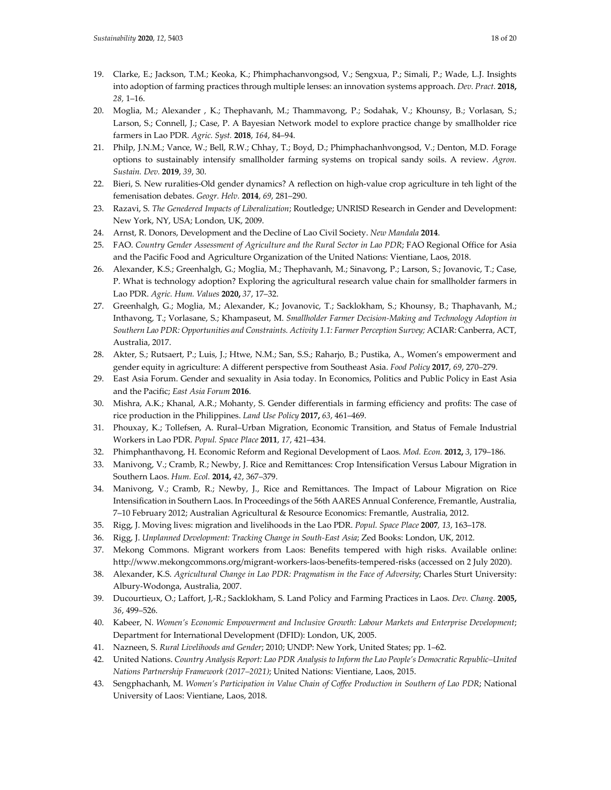- 19. Clarke, E.; Jackson, T.M.; Keoka, K.; Phimphachanvongsod, V.; Sengxua, P.; Simali, P.; Wade, L.J. Insights into adoption of farming practices through multiple lenses: an innovation systems approach. *Dev. Pract.* **2018,** *28,* 1–16.
- 20. Moglia, M.; Alexander , K.; Thephavanh, M.; Thammavong, P.; Sodahak, V.; Khounsy, B.; Vorlasan, S.; Larson, S.; Connell, J.; Case, P. A Bayesian Network model to explore practice change by smallholder rice farmers in Lao PDR. *Agric. Syst.* **2018**, *164*, 84–94.
- 21. Philp, J.N.M.; Vance, W.; Bell, R.W.; Chhay, T.; Boyd, D.; Phimphachanhvongsod, V.; Denton, M.D. Forage options to sustainably intensify smallholder farming systems on tropical sandy soils. A review. *Agron. Sustain. Dev.* **2019**, *39*, 30.
- 22. Bieri, S. New ruralities-Old gender dynamics? A reflection on high-value crop agriculture in teh light of the femenisation debates. *Geogr. Helv.* **2014**, *69*, 281–290.
- 23. Razavi, S. *The Genedered Impacts of Liberalization*; Routledge; UNRISD Research in Gender and Development: New York, NY, USA; London, UK, 2009.
- 24. Arnst, R. Donors, Development and the Decline of Lao Civil Society. *New Mandala* **2014**.
- 25. FAO. *Country Gender Assessment of Agriculture and the Rural Sector in Lao PDR*; FAO Regional Office for Asia and the Pacific Food and Agriculture Organization of the United Nations: Vientiane, Laos, 2018.
- 26. Alexander, K.S.; Greenhalgh, G.; Moglia, M.; Thephavanh, M.; Sinavong, P.; Larson, S.; Jovanovic, T.; Case, P. What is technology adoption? Exploring the agricultural research value chain for smallholder farmers in Lao PDR. *Agric. Hum. Values* **2020,** *37*, 17–32.
- 27. Greenhalgh, G.; Moglia, M.; Alexander, K.; Jovanovic, T.; Sacklokham, S.; Khounsy, B.; Thaphavanh, M.; Inthavong, T.; Vorlasane, S.; Khampaseut, M. *Smallholder Farmer Decision-Making and Technology Adoption in Southern Lao PDR: Opportunities and Constraints. Activity 1.1: Farmer Perception Survey;* ACIAR: Canberra, ACT, Australia, 2017.
- 28. Akter, S.; Rutsaert, P.; Luis, J.; Htwe, N.M.; San, S.S.; Raharjo, B.; Pustika, A., Women's empowerment and gender equity in agriculture: A different perspective from Southeast Asia. *Food Policy* **2017**, *69*, 270–279.
- 29. East Asia Forum. Gender and sexuality in Asia today. In Economics, Politics and Public Policy in East Asia and the Pacific; *East Asia Forum* **2016**.
- 30. Mishra, A.K.; Khanal, A.R.; Mohanty, S. Gender differentials in farming efficiency and profits: The case of rice production in the Philippines. *Land Use Policy* **2017,** *63*, 461–469.
- 31. Phouxay, K.; Tollefsen, A. Rural–Urban Migration, Economic Transition, and Status of Female Industrial Workers in Lao PDR. *Popul. Space Place* **2011**, *17*, 421–434.
- 32. Phimphanthavong, H. Economic Reform and Regional Development of Laos. *Mod. Econ.* **2012,** *3*, 179–186.
- 33. Manivong, V.; Cramb, R.; Newby, J. Rice and Remittances: Crop Intensification Versus Labour Migration in Southern Laos. *Hum. Ecol.* **2014,** *42*, 367–379.
- 34. Manivong, V.; Cramb, R.; Newby, J., Rice and Remittances. The Impact of Labour Migration on Rice Intensification in Southern Laos. In Proceedings of the 56th AARES Annual Conference, Fremantle, Australia, 7–10 February 2012; Australian Agricultural & Resource Economics: Fremantle, Australia, 2012.
- 35. Rigg, J. Moving lives: migration and livelihoods in the Lao PDR. *Popul. Space Place* **2007***, 13*, 163–178.
- 36. Rigg, J. *Unplanned Development: Tracking Change in South-East Asia*; Zed Books: London, UK, 2012.
- 37. Mekong Commons. Migrant workers from Laos: Benefits tempered with high risks. Available online: http://www.mekongcommons.org/migrant-workers-laos-benefits-tempered-risks (accessed on 2 July 2020).
- 38. Alexander, K.S. *Agricultural Change in Lao PDR: Pragmatism in the Face of Adversity*; Charles Sturt University: Albury-Wodonga, Australia, 2007.
- 39. Ducourtieux, O.; Laffort, J,-R.; Sacklokham, S. Land Policy and Farming Practices in Laos. *Dev. Chang.* **2005,** *36*, 499–526.
- 40. Kabeer, N. *Women's Economic Empowerment and Inclusive Growth: Labour Markets and Enterprise Development*; Department for International Development (DFID): London, UK, 2005.
- 41. Nazneen, S. *Rural Livelihoods and Gender*; 2010; UNDP: New York, United States; pp. 1–62.
- 42. United Nations. *Country Analysis Report: Lao PDR Analysis to Inform the Lao People's Democratic Republic–United Nations Partnership Framework (2017–2021)*; United Nations: Vientiane, Laos, 2015.
- 43. Sengphachanh, M. *Women's Participation in Value Chain of Coffee Production in Southern of Lao PDR*; National University of Laos: Vientiane, Laos, 2018.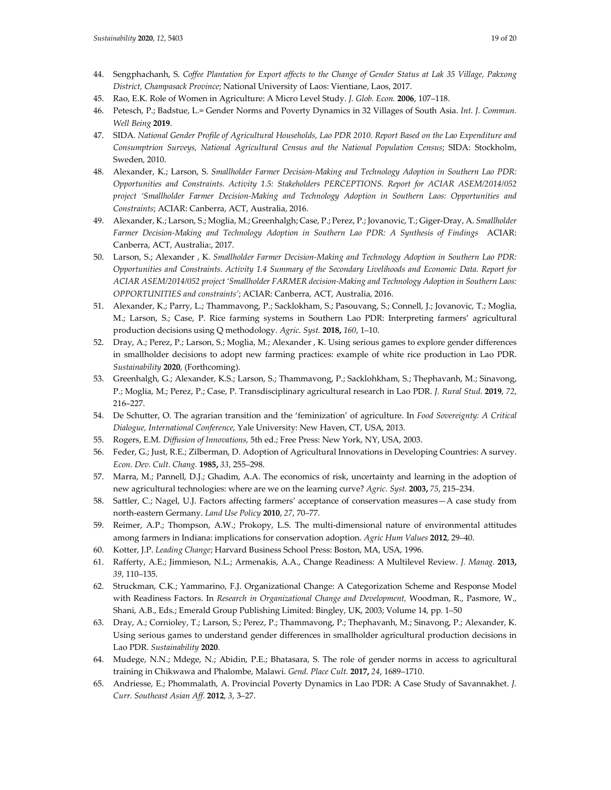- 44. Sengphachanh, S. *Coffee Plantation for Export affects to the Change of Gender Status at Lak 35 Village, Pakxong District, Champasack Province*; National University of Laos: Vientiane, Laos, 2017.
- 45. Rao, E.K. Role of Women in Agriculture: A Micro Level Study. *J. Glob. Econ.* **2006**, 107–118.
- 46. Petesch, P.; Badstue, L.= Gender Norms and Poverty Dynamics in 32 Villages of South Asia. *Int. J. Commun. Well Being* **2019**.
- 47. SIDA. *National Gender Profile of Agricultural Households, Lao PDR 2010. Report Based on the Lao Expenditure and Consumptrion Surveys, National Agricultural Census and the National Population Census*; SIDA: Stockholm, Sweden*,* 2010.
- 48. Alexander, K.; Larson, S. *Smallholder Farmer Decision-Making and Technology Adoption in Southern Lao PDR: Opportunities and Constraints. Activity 1.5: Stakeholders PERCEPTIONS. Report for ACIAR ASEM/2014/052 project 'Smallholder Farmer Decision-Making and Technology Adoption in Southern Laos: Opportunities and Constraints*; ACIAR: Canberra, ACT, Australia, 2016.
- 49. Alexander, K.; Larson, S.; Moglia, M.; Greenhalgh; Case, P.; Perez, P.; Jovanovic, T.; Giger-Dray, A. *Smallholder Farmer Decision-Making and Technology Adoption in Southern Lao PDR: A Synthesis of Findings* ACIAR: Canberra, ACT, Australia:, 2017.
- 50. Larson, S.; Alexander , K. *Smallholder Farmer Decision-Making and Technology Adoption in Southern Lao PDR: Opportunities and Constraints. Activity 1.4 Summary of the Secondary Livelihoods and Economic Data. Report for ACIAR ASEM/2014/052 project 'Smallholder FARMER decision-Making and Technology Adoption in Southern Laos: OPPORTUNITIES and constraints'*; ACIAR: Canberra, ACT, Australia, 2016.
- 51. Alexander, K.; Parry, L.; Thammavong, P.; Sacklokham, S.; Pasouvang, S.; Connell, J.; Jovanovic, T.; Moglia, M.; Larson, S.; Case, P. Rice farming systems in Southern Lao PDR: Interpreting farmers' agricultural production decisions using Q methodology. *Agric. Syst.* **2018,** *160*, 1–10.
- 52. Dray, A.; Perez, P.; Larson, S.; Moglia, M.; Alexander , K. Using serious games to explore gender differences in smallholder decisions to adopt new farming practices: example of white rice production in Lao PDR. *Sustainability* **2020**, (Forthcoming).
- 53. Greenhalgh, G.; Alexander, K.S.; Larson, S.; Thammavong, P.; Sacklohkham, S.; Thephavanh, M.; Sinavong, P.; Moglia, M.; Perez, P.; Case, P. Transdisciplinary agricultural research in Lao PDR. *J. Rural Stud.* **2019**, *72*, 216–227.
- 54. De Schutter, O. The agrarian transition and the 'feminization' of agriculture. In *Food Sovereignty: A Critical Dialogue, International Conference*, Yale University: New Haven, CT, USA, 2013.
- 55. Rogers, E.M. *Diffusion of Innovations,* 5th ed.; Free Press: New York, NY, USA, 2003.
- 56. Feder, G.; Just, R.E.; Zilberman, D. Adoption of Agricultural Innovations in Developing Countries: A survey. *Econ. Dev. Cult. Chang.* **1985,** *33*, 255–298.
- 57. Marra, M.; Pannell, D.J.; Ghadim, A.A. The economics of risk, uncertainty and learning in the adoption of new agricultural technologies: where are we on the learning curve? *Agric. Syst.* **2003,** *75*, 215–234.
- 58. Sattler, C.; Nagel, U.J. Factors affecting farmers' acceptance of conservation measures—A case study from north-eastern Germany. *Land Use Policy* **2010**, *27*, 70–77.
- 59. Reimer, A.P.; Thompson, A.W.; Prokopy, L.S. The multi-dimensional nature of environmental attitudes among farmers in Indiana: implications for conservation adoption. *Agric Hum Values* **2012**, 29–40.
- 60. Kotter, J.P. *Leading Change*; Harvard Business School Press: Boston, MA, USA, 1996.
- 61. Rafferty, A.E.; Jimmieson, N.L.; Armenakis, A.A., Change Readiness: A Multilevel Review. *J. Manag.* **2013,**  *39*, 110–135.
- 62. Struckman, C.K.; Yammarino, F.J. Organizational Change: A Categorization Scheme and Response Model with Readiness Factors. In *Research in Organizational Change and Development,* Woodman, R., Pasmore, W., Shani, A.B., Eds.; Emerald Group Publishing Limited: Bingley, UK, 2003; Volume 14, pp*.* 1–50
- 63. Dray, A.; Cornioley, T.; Larson, S.; Perez, P.; Thammavong, P.; Thephavanh, M.; Sinavong, P.; Alexander, K. Using serious games to understand gender differences in smallholder agricultural production decisions in Lao PDR. *Sustainability* **2020**.
- 64. Mudege, N.N.; Mdege, N.; Abidin, P.E.; Bhatasara, S. The role of gender norms in access to agricultural training in Chikwawa and Phalombe, Malawi. *Gend. Place Cult.* **2017,** *24*, 1689–1710.
- 65. Andriesse, E.; Phommalath, A. Provincial Poverty Dynamics in Lao PDR: A Case Study of Savannakhet. *J. Curr. Southeast Asian Aff.* **2012**, *3*, 3–27.